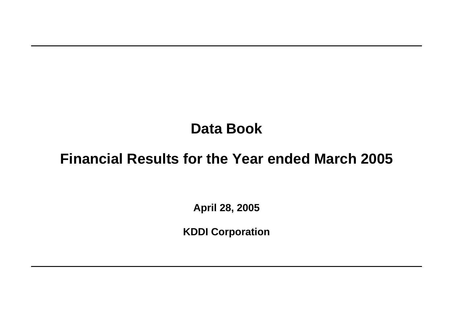# **Data Book**

# **Financial Results for the Year ended March 2005**

**April 28, 2005**

**KDDI Corporation**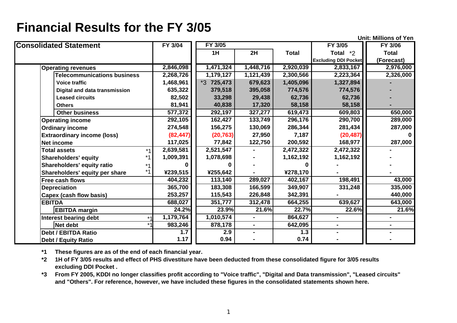**Unit: Millions of Yen**

| <b>Consolidated Statement</b>      | FY 3/04   | FY 3/05      |              |              | FY 3/05                     | FY 3/06      |
|------------------------------------|-----------|--------------|--------------|--------------|-----------------------------|--------------|
|                                    |           | 1H           | 2H           | <b>Total</b> | Total $*2$                  | <b>Total</b> |
|                                    |           |              |              |              | <b>Excluding DDI Pocket</b> | (Forecast)   |
| <b>Operating revenues</b>          | 2,846,098 | 1,471,324    | 1,448,716    | 2,920,039    | 2,833,167                   | 2,976,000    |
| <b>Telecommunications business</b> | 2,268,726 | 1,179,127    | 1,121,439    | 2,300,566    | 2,223,364                   | 2,326,000    |
| <b>Voice traffic</b>               | 1,468,961 | $*3$ 725,473 | 679,623      | 1,405,096    | 1,327,894                   |              |
| Digital and data transmission      | 635,322   | 379,518      | 395,058      | 774,576      | 774,576                     |              |
| <b>Leased circuits</b>             | 82,502    | 33,298       | 29,438       | 62,736       | 62,736                      |              |
| <b>Others</b>                      | 81,941    | 40,838       | 17,320       | 58,158       | 58,158                      |              |
| <b>Other business</b>              | 577,372   | 292,197      | 327,277      | 619,473      | 609,803                     | 650,000      |
| <b>Operating income</b>            | 292, 105  | 162,427      | 133,749      | 296,176      | 290,700                     | 289,000      |
| <b>Ordinary income</b>             | 274,548   | 156,275      | 130,069      | 286,344      | 281,434                     | 287,000      |
| <b>Extraordinary income (loss)</b> | (82, 447) | (20, 763)    | 27,950       | 7,187        | (20, 487)                   | n            |
| <b>Net income</b>                  | 117,025   | 77,842       | 122,750      | 200,592      | 168,977                     | 287,000      |
| <b>Total assets</b><br>$*1$        | 2,639,581 | 2,521,547    |              | 2,472,322    | 2,472,322                   |              |
| <b>Shareholders' equity</b>        | 1,009,391 | 1,078,698    |              | 1,162,192    | 1,162,192                   |              |
| Shareholders' equity ratio         |           |              |              | 0            |                             |              |
| Shareholders' equity per share     | ¥239,515  | ¥255,642     |              | ¥278,170     |                             |              |
| Free cash flows                    | 404,232   | 113,140      | 289,027      | 402,167      | 198,491                     | 43,000       |
| <b>Depreciation</b>                | 365,700   | 183,308      | 166,599      | 349,907      | 331,248                     | 335,000      |
| <b>Capex (cash flow basis)</b>     | 253,257   | 115,543      | 226,848      | 342,391      |                             | 440,000      |
| <b>EBITDA</b>                      | 688,027   | 351,777      | 312,478      | 664,255      | 639,627                     | 643,000      |
| <b>EBITDA margin</b>               | 24.2%     | 23.9%        | 21.6%        | 22.7%        | 22.6%                       | 21.6%        |
| Interest bearing debt              | 1,179,764 | 1,010,574    |              | 864,627      | $\blacksquare$              |              |
| Net debt                           | 983,246   | 878,178      | $\mathbf{r}$ | 642,095      | ۰.                          |              |
| <b>Debt / EBITDA Ratio</b>         | 1.7       | 2.9          |              | $1.3$        | $\blacksquare$              |              |
| <b>Debt / Equity Ratio</b>         | 1.17      | 0.94         |              | 0.74         |                             |              |

**\*1 These figures are as of the end of each financial year.**

**\*2 1H of FY 3/05 results and effect of PHS divestiture have been deducted from these consolidated figure for 3/05 results excluding DDI Pocket .**

**\*3 From FY 2005, KDDI no longer classifies profit according to "Voice traffic", "Digital and Data transmission", "Leased circuits" and "Others". For reference, however, we have included these figures in the consolidated statements shown here.**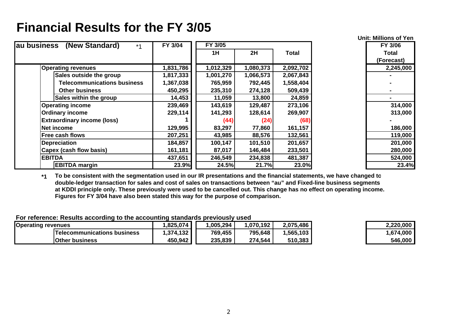| au business<br>(New Standard)<br>$*1$ | FY 3/04   | FY 3/05   |           |           | FY 3/06    |
|---------------------------------------|-----------|-----------|-----------|-----------|------------|
|                                       |           | 1H        | 2H        | Total     | Total      |
|                                       |           |           |           |           | (Forecast) |
| <b>Operating revenues</b>             | 1,831,786 | 1,012,329 | 1,080,373 | 2,092,702 | 2,245,000  |
| Sales outside the group               | 1,817,333 | 1,001,270 | 1,066,573 | 2,067,843 |            |
| <b>Telecommunications business</b>    | 1,367,038 | 765,959   | 792,445   | 1,558,404 |            |
| <b>Other business</b>                 | 450,295   | 235,310   | 274,128   | 509,439   |            |
| Sales within the group                | 14,453    | 11,059    | 13,800    | 24,859    |            |
| <b>Operating income</b>               | 239,469   | 143,619   | 129,487   | 273,106   | 314,000    |
| <b>Ordinary income</b>                | 229,114   | 141,293   | 128,614   | 269,907   | 313,000    |
| <b>Extraordinary income (loss)</b>    |           | (44)      | (24)      | (68)      |            |
| Net income                            | 129,995   | 83,297    | 77,860    | 161,157   | 186,000    |
| <b>Free cash flows</b>                | 207,251   | 43,985    | 88,576    | 132,561   | 119,000    |
| <b>Depreciation</b>                   | 184,857   | 100,147   | 101,510   | 201,657   | 201,000    |
| Capex (cash flow basis)               | 161,181   | 87,017    | 146,484   | 233,501   | 280,000    |
| <b>EBITDA</b>                         | 437,651   | 246,549   | 234,838   | 481,387   | 524,000    |
| <b>EBITDA</b> margin                  | 23.9%     | 24.5%     | 21.7%     | 23.0%     | 23.4%      |

**Unit: Millions of Yen**

**\*1 To be consistent with the segmentation used in our IR presentations and the financial statements, we have changed t o double-ledger transaction for sales and cost of sales on transactions between "au" and Fixed-line business segments at KDDI principle only. These previously were used to be cancelled out. This change has no effect on operating income. Figures for FY 3/04 have also been stated this way for the purpose of comparison.** 

| <b>Operating revenues</b>          | .825.074    | ,005,294 | 070,192,ا | 2,075,486 | 2,220,000 |
|------------------------------------|-------------|----------|-----------|-----------|-----------|
| <b>Telecommunications business</b> | ا 374,132.، | 769,455  | 795,648   | 1,565,103 | 1,674,000 |
| <b>Other business</b>              | 450,942     | 235,839  | 274,544   | 510,383   | 546,000   |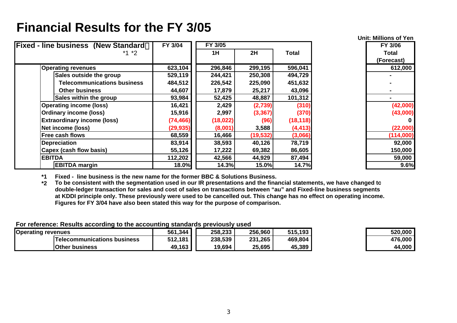| <b>Fixed - line business (New Standard</b> | FY 3/04   | FY 3/05  |           |              | FY 3/06    |
|--------------------------------------------|-----------|----------|-----------|--------------|------------|
| $*1 *2$                                    |           | 1H       | 2H        | <b>Total</b> | Total      |
|                                            |           |          |           |              | (Forecast) |
| <b>Operating revenues</b>                  | 623,104   | 296,846  | 299,195   | 596,041      | 612,000    |
| Sales outside the group                    | 529,119   | 244,421  | 250,308   | 494,729      |            |
| <b>Telecommunications business</b>         | 484,512   | 226,542  | 225,090   | 451,632      |            |
| <b>Other business</b>                      | 44,607    | 17,879   | 25,217    | 43,096       |            |
| Sales within the group                     | 93,984    | 52,425   | 48,887    | 101,312      |            |
| <b>Operating income (loss)</b>             | 16,421    | 2,429    | (2,739)   | (310)        | (42,000)   |
| <b>Ordinary income (loss)</b>              | 15,916    | 2,997    | (3, 367)  | (370)        | (43,000)   |
| <b>Extraordinary income (loss)</b>         | (74, 466) | (18,022) | (96)      | (18, 118)    | 0          |
| Net income (loss)                          | (29, 935) | (8,001)  | 3,588     | (4, 413)     | (22,000)   |
| <b>Free cash flows</b>                     | 68,559    | 16,466   | (19, 532) | (3,066)      | (114,000)  |
| <b>Depreciation</b>                        | 83,914    | 38,593   | 40,126    | 78,719       | 92,000     |
| Capex (cash flow basis)                    | 55,126    | 17,222   | 69,382    | 86,605       | 150,000    |
| <b>EBITDA</b>                              | 112,202   | 42,566   | 44,929    | 87,494       | 59,000     |
| <b>EBITDA margin</b>                       | 18.0%     | 14.3%    | 15.0%     | 14.7%        | 9.6%       |

**Unit: Millions of Yen(Forecast) 0**

**\*1 Fixed - line business is the new name for the former BBC & Solutions Business.**

**\*2 To be consistent with the segmentation used in our IR presentations and the financial statements, we have changed t o double-ledger transaction for sales and cost of sales on transactions between "au" and Fixed-line business segments at KDDI principle only. These previously were used to be cancelled out. This change has no effect on operating income. Figures for FY 3/04 have also been stated this way for the purpose of comparison.** 

| <b>Operating revenues</b>   | 561,344 | 258,233 | 256,960 | 515,193 | 520,000 |
|-----------------------------|---------|---------|---------|---------|---------|
| Telecommunications business | 512,181 | 238,539 | 231,265 | 469,804 | 476,000 |
| <b>Other business</b>       | 49,163  | 19,694  | 25,695  | 45,389  | 44,000  |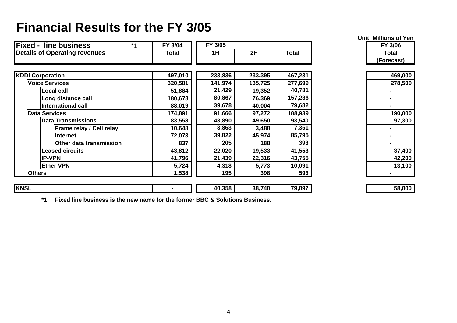| <b>Fixed - line business</b><br>$*1$ | FY 3/04      | FY 3/05 |         |              | FY 3/06      |
|--------------------------------------|--------------|---------|---------|--------------|--------------|
| <b>Details of Operating revenues</b> | <b>Total</b> | 1H      | 2H      | <b>Total</b> | <b>Total</b> |
|                                      |              |         |         |              | (Forecast)   |
| <b>KDDI Corporation</b>              | 497,010      | 233,836 | 233,395 | 467,231      | 469,000      |
| <b>Voice Services</b>                | 320,581      | 141,974 | 135,725 | 277,699      | 278,500      |
| <b>Local call</b>                    | 51,884       | 21,429  | 19,352  | 40,781       |              |
| Long distance call                   | 180,678      | 80,867  | 76,369  | 157,236      |              |
| <b>International call</b>            | 88,019       | 39,678  | 40,004  | 79,682       |              |
| <b>Data Services</b>                 | 174,891      | 91,666  | 97,272  | 188,939      | 190,000      |
| <b>Data Transmissions</b>            | 83,558       | 43,890  | 49,650  | 93,540       | 97,300       |
| Frame relay / Cell relay             | 10,648       | 3,863   | 3,488   | 7,351        |              |
| <b>Internet</b>                      | 72,073       | 39,822  | 45,974  | 85,795       |              |
| Other data transmission              | 837          | 205     | 188     | 393          |              |
| <b>Leased circuits</b>               | 43,812       | 22,020  | 19,533  | 41,553       | 37,400       |
| <b>IP-VPN</b>                        | 41,796       | 21,439  | 22,316  | 43,755       | 42,200       |
| <b>Ether VPN</b>                     | 5,724        | 4,318   | 5,773   | 10,091       | 13,100       |
| <b>Others</b>                        | 1,538        | 195     | 398     | 593          |              |
| <b>KNSL</b>                          |              | 40,358  | 38,740  | 79,097       | 58,000       |

**Unit: Millions of Yen**

| 469,000 |
|---------|
| 278,500 |
|         |
|         |
|         |
| 190,000 |
| 97,300  |
|         |
|         |
|         |
| 37,400  |
| 42,200  |
| 13,100  |
|         |

| 58,000 |
|--------|
|--------|

**\*1 Fixed line business is the new name for the former BBC & Solutions Business.**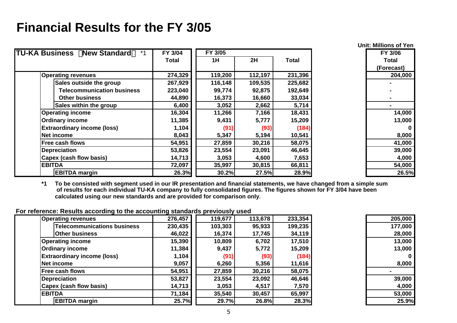|                                                      |         |         |         |              | <b>Unit: Millions of Yen</b> |
|------------------------------------------------------|---------|---------|---------|--------------|------------------------------|
| <b>TU-KA Business</b><br><b>New Standard</b><br>$*1$ | FY 3/04 | FY 3/05 |         |              | FY 3/06                      |
|                                                      | Total   | 1H      | 2H      | <b>Total</b> | <b>Total</b>                 |
|                                                      |         |         |         |              | (Forecast)                   |
| <b>Operating revenues</b>                            | 274,329 | 119,200 | 112,197 | 231,396      | 204,000                      |
| Sales outside the group                              | 267,929 | 116,148 | 109,535 | 225,682      |                              |
| <b>Telecommunication business</b>                    | 223,040 | 99,774  | 92,875  | 192,649      |                              |
| <b>Other business</b>                                | 44,890  | 16,373  | 16,660  | 33,034       |                              |
| Sales within the group                               | 6,400   | 3,052   | 2,662   | 5,714        |                              |
| <b>Operating income</b>                              | 16,304  | 11,266  | 7,166   | 18,431       | 14,000                       |
| <b>Ordinary income</b>                               | 11,385  | 9,431   | 5,777   | 15,209       | 13,000                       |
| <b>Extraordinary income (loss)</b>                   | 1,104   | (91)    | (93)    | (184)        |                              |
| Net income                                           | 8,043   | 5,347   | 5,194   | 10,541       | 8,000                        |
| Free cash flows                                      | 54,951  | 27,859  | 30,216  | 58,075       | 41,000                       |
| <b>Depreciation</b>                                  | 53,826  | 23,554  | 23,091  | 46,645       | 39,000                       |
| Capex (cash flow basis)                              | 14,713  | 3,053   | 4,600   | 7,653        | 4,000                        |
| <b>EBITDA</b>                                        | 72,097  | 35,997  | 30,815  | 66,811       | 54,000                       |
| <b>EBITDA</b> margin                                 | 26.3%   | 30.2%   | 27.5%   | 28.9%        | 26.5%                        |

**\*1 To be consisted with se gment used in our IR presentation and financial statements, we have chan ged from a sim ple sum of results for each individual TU-KA company to fully consolidated figures. The figures shown for FY 3/04 have been calculated using our new standards and are provided for comparison only.**

| <b>Operating revenues</b>          | 276,457 | 119,677 | 113,678 | 233,354 | 205,000  |
|------------------------------------|---------|---------|---------|---------|----------|
| <b>Telecommunications business</b> | 230,435 | 103,303 | 95,933  | 199,235 | 177,000  |
| <b>Other business</b>              | 46,022  | 16,374  | 17,745  | 34,119  | 28,000   |
| <b>Operating income</b>            | 15,390  | 10,809  | 6,702   | 17,510  | 13,000   |
| <b>Ordinary income</b>             | 11,384  | 9,437   | 5,772   | 15,209  | 13,000   |
| <b>Extraordinary income (loss)</b> | 1,104   | (91)    | (93)    | (184)   | $\bf{0}$ |
| Net income                         | 9,057   | 6,260   | 5,356   | 11,616  | 8,000    |
| <b>Free cash flows</b>             | 54,951  | 27,859  | 30,216  | 58,075  |          |
| <b>Depreciation</b>                | 53,827  | 23,554  | 23,092  | 46,646  | 39,000   |
| Capex (cash flow basis)            | 14,713  | 3,053   | 4,517   | 7,570   | 4,000    |
| <b>EBITDA</b>                      | 71,184  | 35,540  | 30,457  | 65,997  | 53,000   |
| <b>EBITDA</b> margin               | 25.7%   | 29.7%   | 26.8%   | 28.3%   | 25.9%    |

| 205,000 |
|---------|
| 177,000 |
| 28,000  |
| 13,000  |
| 13,000  |
| 0       |
| 8,000   |
|         |
| 39,000  |
| 4,000   |
| 53,000  |
| 25.9%   |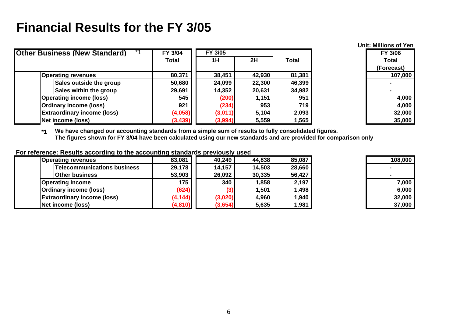|                                      |              |         |        |        | <b>Unit: Millions of Yen</b> |
|--------------------------------------|--------------|---------|--------|--------|------------------------------|
| <b>Other Business (New Standard)</b> | FY 3/04      | FY 3/05 |        |        | FY 3/06                      |
|                                      | <b>Total</b> | 1H      | 2H     | Total  | <b>Total</b>                 |
|                                      |              |         |        |        | (Forecast)                   |
| <b>Operating revenues</b>            | 80,371       | 38,451  | 42,930 | 81,381 | 107,000                      |
| Sales outside the group              | 50,680       | 24,099  | 22,300 | 46,399 |                              |
| Sales within the group               | 29,691       | 14,352  | 20,631 | 34,982 |                              |
| <b>Operating income (loss)</b>       | 545          | (200)   | 1,151  | 951    | 4,000                        |
| Ordinary income (loss)               | 921          | (234)   | 953    | 719    | 4,000                        |
| <b>Extraordinary income (loss)</b>   | (4,058)      | (3,011) | 5,104  | 2,093  | 32,000                       |
| Net income (loss)                    | (3, 439)     | (3,994) | 5,559  | 1,565  | 35,000                       |

**\*1 We have changed our accounting standards from a simple sum of results to fully consolidated figures. The figures shown for FY 3/04 have been calculated using our new standards and are provided for comparison only**

| Operating revenues                 | 83,081   | 40,249  | 44,838 | 85,087 | 108,000 |
|------------------------------------|----------|---------|--------|--------|---------|
| <b>Telecommunications business</b> | 29,178   | 14,157  | 14,503 | 28,660 |         |
| <b>Other business</b>              | 53,903   | 26,092  | 30,335 | 56,427 |         |
| <b>Operating income</b>            | 175      | 340     | 1,858  | 2,197  | 7,000   |
| Ordinary income (loss)             | (624)    | (3)     | 1,501  | 1,498  | 6,000   |
| <b>Extraordinary income (loss)</b> | (4, 144) | (3,020) | 4,960  | 1,940  | 32,000  |
| Net income (loss)                  | (4, 810) | (3,654) | 5,635  | 1,981  | 37,000  |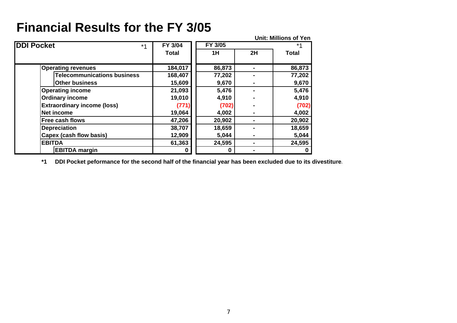**Unit: Millions of YenDDI Pocket FY 3/04 FY 3/05** \*1 **Total 1H 2H Total Operating revenues 184,017 86,873 - 86,873 Telecommunications business 168,407 77,202 - 77,202 Other business 15,609 9,670 - 9,670 Operating income 21,093 5,476 - 5,476 Ordinary income 19,010 4,910 - 4,910 Extraordinary income (loss) (771) (702) - (702) Net income 19,064 4,002 - 4,002 Free cash flows 47,206 20,902 - 20,902 Depreciation 38,707 18,659 - 18,659 Capex (cash flow basis) 12,909 5,044 - 5,044 EBITDA 61,363 24,595 - 24,595 EBITDA margin 0 0 - 0** \*1

**\*1 DDI Pocket peformance for the second half of the financial year has been excluded due to its divestiture.**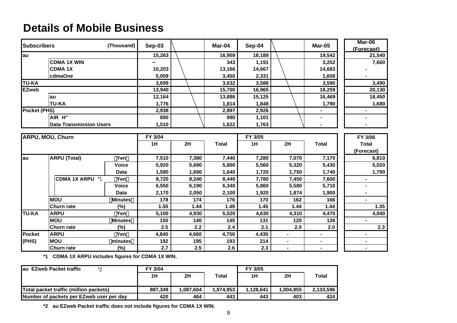#### **Details of Mobile Business**

| <b>Subscribers</b>      |                                | (Thousand)     | Sep-03 |       | Mar-04       | Sep-04 |                | <b>Mar-05</b>  | Mar-06               |
|-------------------------|--------------------------------|----------------|--------|-------|--------------|--------|----------------|----------------|----------------------|
|                         |                                |                | 15,263 |       | 16,959       | 18,189 |                | 19,542         | (Forecast)<br>21,540 |
| au                      | <b>CDMA1X WIN</b>              |                |        |       |              |        |                |                |                      |
|                         |                                |                |        |       | 343          | 1,191  |                | 3,252          | 7,660                |
|                         | <b>CDMA1X</b>                  |                | 10,203 |       | 13,166       | 14,667 |                | 14,683         |                      |
|                         | cdmaOne                        |                | 5,059  |       | 3,450        | 2,331  |                | 1,608          |                      |
| <b>TU-KA</b>            |                                |                | 3,699  |       | 3,632        | 3,588  |                | 3,590          | 3,490                |
| <b>EZweb</b>            |                                |                | 13,940 |       | 15,700       | 16,965 |                | 18,259         | 20,130               |
|                         | au                             |                | 12,164 |       | 13,886       | 15,125 |                | 16,469         | 18,450               |
|                         | <b>TU-KA</b>                   |                | 1,776  |       | 1,814        | 1,848  |                | 1,790          | 1,680                |
| Pocket (PHS)            |                                |                | 2,938  |       | 2,897        | 2,926  |                |                |                      |
|                         | AIR H"                         |                | 890    |       | 990          | 1,101  |                |                |                      |
|                         | <b>Data Transmission Users</b> |                | 1,510  |       | 1,622        | 1,763  |                |                |                      |
|                         |                                |                |        |       |              |        |                |                |                      |
| <b>ARPU, MOU, Churn</b> |                                | FY 3/04        |        |       | FY 3/05      |        |                | FY 3/06        |                      |
|                         |                                |                | 1H     | 2H    | <b>Total</b> | 1H     | 2H             | <b>Total</b>   | <b>Total</b>         |
|                         |                                |                |        |       |              |        |                |                | (Forecast)           |
| lau                     | <b>ARPU</b> (Total)            | Yen            | 7,510  | 7,380 | 7,440        | 7,280  | 7,070          | 7,170          | 6,810                |
|                         |                                | <b>Voice</b>   | 5,920  | 5,690 | 5,800        | 5,560  | 5,320          | 5,430          | 5,020                |
|                         |                                | <b>Data</b>    | 1,590  | 1,690 | 1,640        | 1,720  | 1,750          | 1,740          | 1,790                |
|                         | CDMA 1X ARPU *1                | Yen            | 8,720  | 8,240 | 8,440        | 7,780  | 7,450          | 7,600          |                      |
|                         |                                | <b>Voice</b>   | 6,550  | 6,190 | 6,340        | 5,860  | 5,580          | 5,710          | $\blacksquare$       |
|                         |                                | Data           | 2,170  | 2,050 | 2,100        | 1,920  | 1,874          | 1,900          |                      |
|                         | <b>MOU</b>                     | <b>Minutes</b> | 178    | 174   | 176          | 170    | 162            | 166            | $\blacksquare$       |
|                         | <b>Churn rate</b>              | $(\%)$         | 1.55   | 1.44  | 1.49         | 1.45   | 1.44           | 1.44           | 1.35                 |
| <b>TU-KA</b>            | <b>ARPU</b>                    | Yen            | 5,100  | 4,930 | 5,020        | 4,630  | 4,310          | 4,470          | 4,040                |
|                         | <b>MOU</b>                     | <b>Minutes</b> | 150    | 140   | 145          | 131    | 120            | 126            | $\blacksquare$       |
|                         | <b>Churn rate</b>              | $(\%)$         | 2.5    | 2.2   | 2.4          | 2.1    | 2.0            | 2.0            | 2.3                  |
| <b>Pocket</b>           | <b>ARPU</b>                    | Yen            | 4,840  | 4,660 | 4,750        | 4,430  | $\blacksquare$ |                | $\blacksquare$       |
| (PHS)                   | <b>MOU</b>                     | minutes        | 192    | 195   | 193          | 214    |                |                | $\blacksquare$       |
|                         | <b>Churn rate</b>              | $(\%)$         | 2.7    | 2.5   | 2.6          | 2.3    | $\blacksquare$ | $\blacksquare$ | $\blacksquare$       |

**\*1 CDMA 1X ARPU includes figures for CDMA 1X WIN.** 

| $*$<br>lau EZweb Packet traffic          | FY 3/04 |           |           | FY 3/05   |          |           |
|------------------------------------------|---------|-----------|-----------|-----------|----------|-----------|
|                                          | 1H      | 2H        | Total     | 1H        | 2H       | Total     |
|                                          |         |           |           |           |          |           |
| Total packet traffic (million packets)   | 887.349 | 1.087.604 | 1.974.953 | 1.128.641 | .004.955 | 2.133.596 |
| Number of packets per EZweb user per day | 420     | 464       | 443       | 443       | 403      | 424       |

**\*2 au EZweb Packet traffic does not include figures for CDMA 1X WIN.**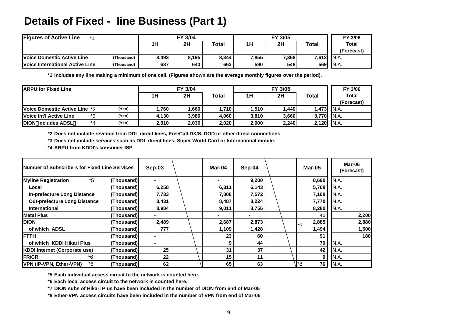#### **Details of Fixed - line Business (Part 1)**

| <b>Figures of Active Line</b><br>$*$ A |            | FY 3/04 |       |       |       | FY 3/06 |       |                            |
|----------------------------------------|------------|---------|-------|-------|-------|---------|-------|----------------------------|
|                                        |            | 1H      | 2H    | Total | 1H    | 2H      | Total | <b>Total</b><br>(Forecast) |
| <b>Voice Domestic Active Line</b>      | (Thousand) | 8,493   | 8,195 | 8,344 | 7,855 | 7,368   | 7,612 | IN.A.                      |
| <b>Voice International Active Line</b> | (Thousand) | 687     | 640   | 663   | 590   | 548     | 569   | IN.A.                      |

**\*1 Includes any line making a minimum of one call. (Figures shown are the average monthly figures over the period).** 

| <b>IARPU for Fixed Line</b>            | FY 3/04 |       |       |       | FY 3/06 |       |       |              |
|----------------------------------------|---------|-------|-------|-------|---------|-------|-------|--------------|
|                                        |         | 1H    | 2H    | Total | 1H      | 2H    | Total | <b>Total</b> |
|                                        |         |       |       |       |         |       |       | (Forecast)   |
| <b>IVoice Domestic Active Line *2</b>  | (Yen)   | .760  | 1.660 | .710  | 1.510   | .440  | 1.473 | IN.A.        |
| <b>IVoice Int'l Active Line</b><br>$*$ | (Yen)   | 4.130 | 3.980 | 4.060 | 3.810   | 3.660 | 3.770 | IN.A.        |
| <b>DION includes ADSL</b><br>*4        | 'Yen)   | 2.010 | 2,030 | 2,020 | 2.000   | 2.240 | 2,120 | IN.A.        |

**\*2 Does not include revenue from DDL direct lines, FreeCall DX/S, DOD or other direct connections.** 

**\*3 Does not include services such as DDL direct lines, Super World Card or International mobile.** 

**\*4 ARPU from KDDI's consumer ISP.** 

| <b>INumber of Subscribers for Fixed Line Services</b> |            | Sep-03         |  | Mar-04 | Sep-04 |  |         | Mar-05 |       | Mar-06<br>(Forecast) |
|-------------------------------------------------------|------------|----------------|--|--------|--------|--|---------|--------|-------|----------------------|
| <b>Myline Registration</b><br>*5                      | (Thousand) |                |  |        | 9,200  |  |         | 8,690  | N.A.  |                      |
| Local                                                 | (Thousand) | 6,258          |  | 6,311  | 6,143  |  |         | 5,768  | N.A.  |                      |
| <b>In-prefecture Long Distance</b>                    | (Thousand) | 7,733          |  | 7,808  | 7,572  |  |         | 7,108  | IN.A. |                      |
| <b>Out-prefecture Long Distance</b>                   | (Thousand) | 8,431          |  | 8,487  | 8,224  |  |         | 7,770  | IN.A. |                      |
| <b>International</b>                                  | (Thousand) | 8,984          |  | 9,011  | 8,756  |  |         | 8,280  | N.A.  |                      |
| <b>IMetal Plus</b>                                    | (Thousand) |                |  |        |        |  |         | 41     |       | 2,200                |
| <b>IDION</b>                                          | (Thousand) | 2,489          |  | 2,687  | 2,873  |  | $\star$ | 2,885  |       | 2,880                |
| of which ADSL                                         | (Thousand) | 777            |  | 1,109  | 1,428  |  |         | 1,494  |       | 1,500                |
| <b>IFTTH</b>                                          | (Thousand) |                |  | 23     | 60     |  |         | 91     |       | 180                  |
| of which KDDI Hikari Plus                             | (Thousand) | $\blacksquare$ |  | 9      | 44     |  |         | 79     | N.A.  |                      |
| <b>KDDI Internet (Corporate use)</b>                  | (Thousand) | 25             |  | 31     | 37     |  |         | 42     | N.A.  |                      |
| *6<br><b>FR/CR</b>                                    | (Thousand) | 22             |  | 15     | 11     |  |         | 9      | N.A.  |                      |
| *6<br>VPN (IP-VPN, Ether-VPN)                         | (Thousand) | 62             |  | 65     | 63     |  | l*8     | 76     | N.A.  |                      |

**\*5 Each individual access circuit to the network is counted here.** 

**\*6 Each local access circuit to the network is counted here.**

**\*7 DION subs of Hikari Plus have been included in the number of DION from end of Mar-05**

**\*8 Ether-VPN access circuits have been included in the number of VPN from end of Mar-05**